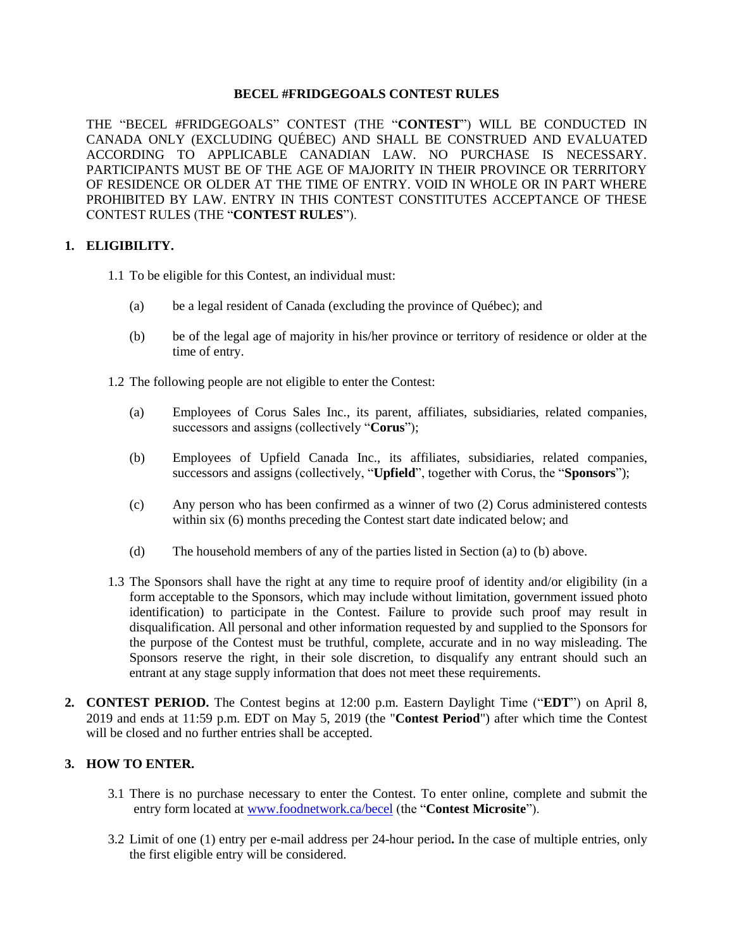## **BECEL #FRIDGEGOALS CONTEST RULES**

THE "BECEL #FRIDGEGOALS" CONTEST (THE "**CONTEST**") WILL BE CONDUCTED IN CANADA ONLY (EXCLUDING QUÉBEC) AND SHALL BE CONSTRUED AND EVALUATED ACCORDING TO APPLICABLE CANADIAN LAW. NO PURCHASE IS NECESSARY. PARTICIPANTS MUST BE OF THE AGE OF MAJORITY IN THEIR PROVINCE OR TERRITORY OF RESIDENCE OR OLDER AT THE TIME OF ENTRY. VOID IN WHOLE OR IN PART WHERE PROHIBITED BY LAW. ENTRY IN THIS CONTEST CONSTITUTES ACCEPTANCE OF THESE CONTEST RULES (THE "**CONTEST RULES**").

## **1. ELIGIBILITY.**

- 1.1 To be eligible for this Contest, an individual must:
	- (a) be a legal resident of Canada (excluding the province of Québec); and
	- (b) be of the legal age of majority in his/her province or territory of residence or older at the time of entry.
- 1.2 The following people are not eligible to enter the Contest:
	- (a) Employees of Corus Sales Inc., its parent, affiliates, subsidiaries, related companies, successors and assigns (collectively "**Corus**");
	- (b) Employees of Upfield Canada Inc., its affiliates, subsidiaries, related companies, successors and assigns (collectively, "**Upfield**", together with Corus, the "**Sponsors**");
	- (c) Any person who has been confirmed as a winner of two (2) Corus administered contests within six (6) months preceding the Contest start date indicated below; and
	- (d) The household members of any of the parties listed in Section (a) to (b) above.
- 1.3 The Sponsors shall have the right at any time to require proof of identity and/or eligibility (in a form acceptable to the Sponsors, which may include without limitation, government issued photo identification) to participate in the Contest. Failure to provide such proof may result in disqualification. All personal and other information requested by and supplied to the Sponsors for the purpose of the Contest must be truthful, complete, accurate and in no way misleading. The Sponsors reserve the right, in their sole discretion, to disqualify any entrant should such an entrant at any stage supply information that does not meet these requirements.
- **2. CONTEST PERIOD.** The Contest begins at 12:00 p.m. Eastern Daylight Time ("**EDT**") on April 8, 2019 and ends at 11:59 p.m. EDT on May 5, 2019 (the "**Contest Period**") after which time the Contest will be closed and no further entries shall be accepted.

# **3. HOW TO ENTER.**

- 3.1 There is no purchase necessary to enter the Contest. To enter online, complete and submit the entry form located at [www.foodnetwork.ca/becel](http://www.foodnetwork.ca/becel) (the "**Contest Microsite**").
- 3.2 Limit of one (1) entry per e-mail address per 24-hour period**.** In the case of multiple entries, only the first eligible entry will be considered.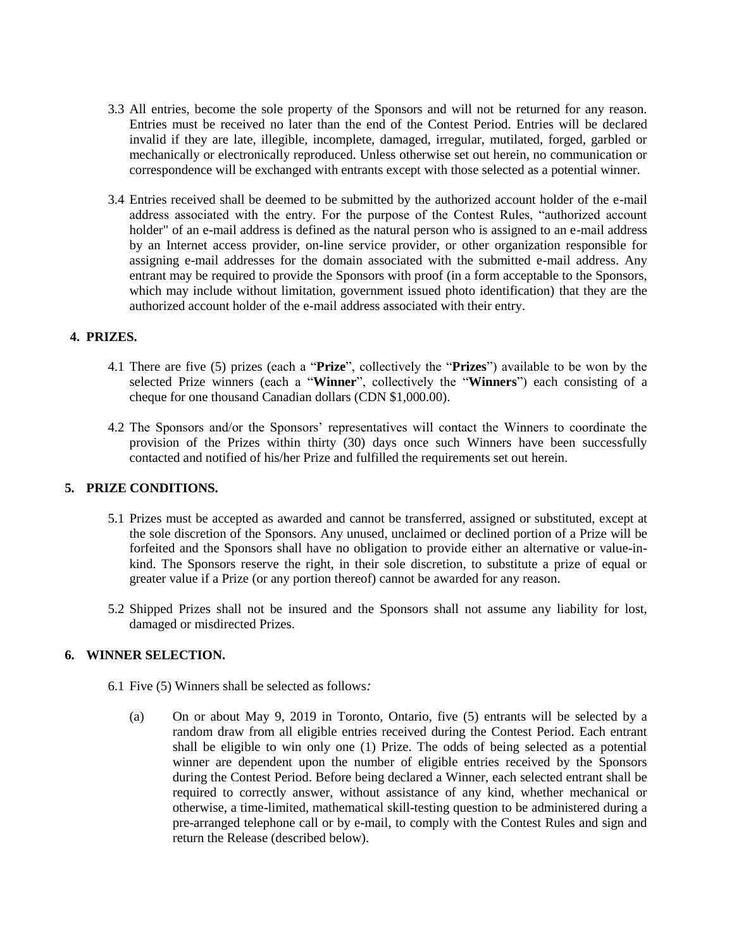- 3.3 All entries, become the sole property of the Sponsors and will not be returned for any reason. Entries must be received no later than the end of the Contest Period. Entries will be declared invalid if they are late, illegible, incomplete, damaged, irregular, mutilated, forged, garbled or mechanically or electronically reproduced. Unless otherwise set out herein, no communication or correspondence will be exchanged with entrants except with those selected as a potential winner.
- 3.4 Entries received shall be deemed to be submitted by the authorized account holder of the e-mail address associated with the entry. For the purpose of the Contest Rules, "authorized account holder" of an e-mail address is defined as the natural person who is assigned to an e-mail address by an Internet access provider, on-line service provider, or other organization responsible for assigning e-mail addresses for the domain associated with the submitted e-mail address. Any entrant may be required to provide the Sponsors with proof (in a form acceptable to the Sponsors, which may include without limitation, government issued photo identification) that they are the authorized account holder of the e-mail address associated with their entry.

## **4. PRIZES.**

- 4.1 There are five (5) prizes (each a "**Prize**", collectively the "**Prizes**") available to be won by the selected Prize winners (each a "**Winner**", collectively the "**Winners**") each consisting of a cheque for one thousand Canadian dollars (CDN \$1,000.00).
- 4.2 The Sponsors and/or the Sponsors' representatives will contact the Winners to coordinate the provision of the Prizes within thirty (30) days once such Winners have been successfully contacted and notified of his/her Prize and fulfilled the requirements set out herein.

## **5. PRIZE CONDITIONS.**

- 5.1 Prizes must be accepted as awarded and cannot be transferred, assigned or substituted, except at the sole discretion of the Sponsors. Any unused, unclaimed or declined portion of a Prize will be forfeited and the Sponsors shall have no obligation to provide either an alternative or value-inkind. The Sponsors reserve the right, in their sole discretion, to substitute a prize of equal or greater value if a Prize (or any portion thereof) cannot be awarded for any reason.
- 5.2 Shipped Prizes shall not be insured and the Sponsors shall not assume any liability for lost, damaged or misdirected Prizes.

## **6. WINNER SELECTION.**

- 6.1 Five (5) Winners shall be selected as follows*:*
	- (a) On or about May 9, 2019 in Toronto, Ontario, five (5) entrants will be selected by a random draw from all eligible entries received during the Contest Period. Each entrant shall be eligible to win only one (1) Prize. The odds of being selected as a potential winner are dependent upon the number of eligible entries received by the Sponsors during the Contest Period. Before being declared a Winner, each selected entrant shall be required to correctly answer, without assistance of any kind, whether mechanical or otherwise, a time-limited, mathematical skill-testing question to be administered during a pre-arranged telephone call or by e-mail, to comply with the Contest Rules and sign and return the Release (described below).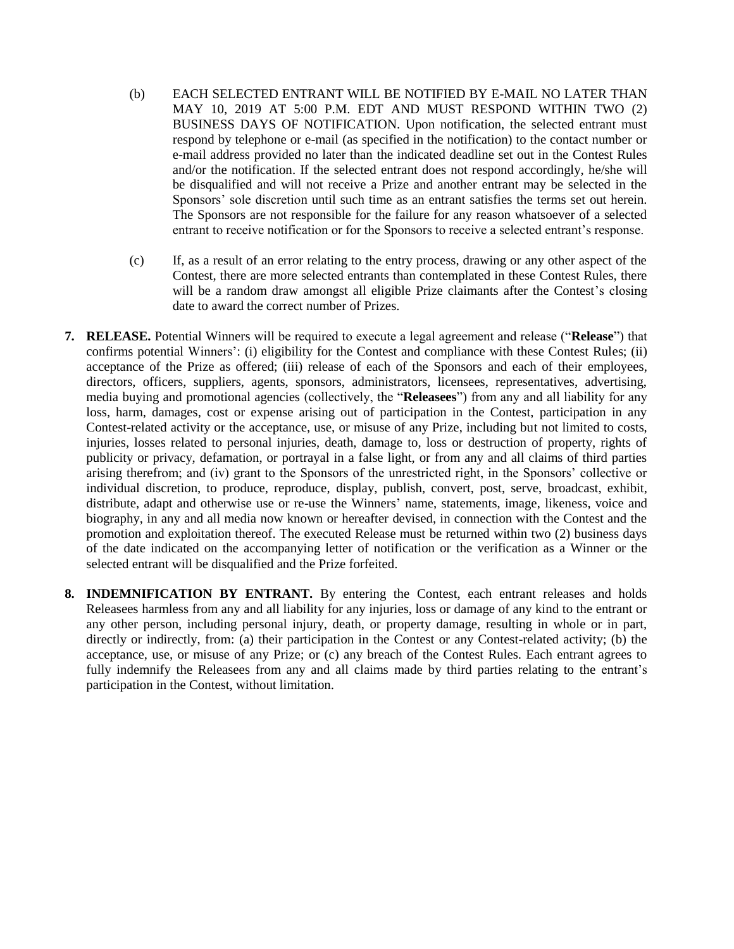- (b) EACH SELECTED ENTRANT WILL BE NOTIFIED BY E-MAIL NO LATER THAN MAY 10, 2019 AT 5:00 P.M. EDT AND MUST RESPOND WITHIN TWO (2) BUSINESS DAYS OF NOTIFICATION. Upon notification, the selected entrant must respond by telephone or e-mail (as specified in the notification) to the contact number or e-mail address provided no later than the indicated deadline set out in the Contest Rules and/or the notification. If the selected entrant does not respond accordingly, he/she will be disqualified and will not receive a Prize and another entrant may be selected in the Sponsors' sole discretion until such time as an entrant satisfies the terms set out herein. The Sponsors are not responsible for the failure for any reason whatsoever of a selected entrant to receive notification or for the Sponsors to receive a selected entrant's response.
- (c) If, as a result of an error relating to the entry process, drawing or any other aspect of the Contest, there are more selected entrants than contemplated in these Contest Rules, there will be a random draw amongst all eligible Prize claimants after the Contest's closing date to award the correct number of Prizes.
- **7. RELEASE.** Potential Winners will be required to execute a legal agreement and release ("**Release**") that confirms potential Winners': (i) eligibility for the Contest and compliance with these Contest Rules; (ii) acceptance of the Prize as offered; (iii) release of each of the Sponsors and each of their employees, directors, officers, suppliers, agents, sponsors, administrators, licensees, representatives, advertising, media buying and promotional agencies (collectively, the "**Releasees**") from any and all liability for any loss, harm, damages, cost or expense arising out of participation in the Contest, participation in any Contest-related activity or the acceptance, use, or misuse of any Prize, including but not limited to costs, injuries, losses related to personal injuries, death, damage to, loss or destruction of property, rights of publicity or privacy, defamation, or portrayal in a false light, or from any and all claims of third parties arising therefrom; and (iv) grant to the Sponsors of the unrestricted right, in the Sponsors' collective or individual discretion, to produce, reproduce, display, publish, convert, post, serve, broadcast, exhibit, distribute, adapt and otherwise use or re-use the Winners' name, statements, image, likeness, voice and biography, in any and all media now known or hereafter devised, in connection with the Contest and the promotion and exploitation thereof. The executed Release must be returned within two (2) business days of the date indicated on the accompanying letter of notification or the verification as a Winner or the selected entrant will be disqualified and the Prize forfeited.
- **8. INDEMNIFICATION BY ENTRANT.** By entering the Contest, each entrant releases and holds Releasees harmless from any and all liability for any injuries, loss or damage of any kind to the entrant or any other person, including personal injury, death, or property damage, resulting in whole or in part, directly or indirectly, from: (a) their participation in the Contest or any Contest-related activity; (b) the acceptance, use, or misuse of any Prize; or (c) any breach of the Contest Rules. Each entrant agrees to fully indemnify the Releasees from any and all claims made by third parties relating to the entrant's participation in the Contest, without limitation.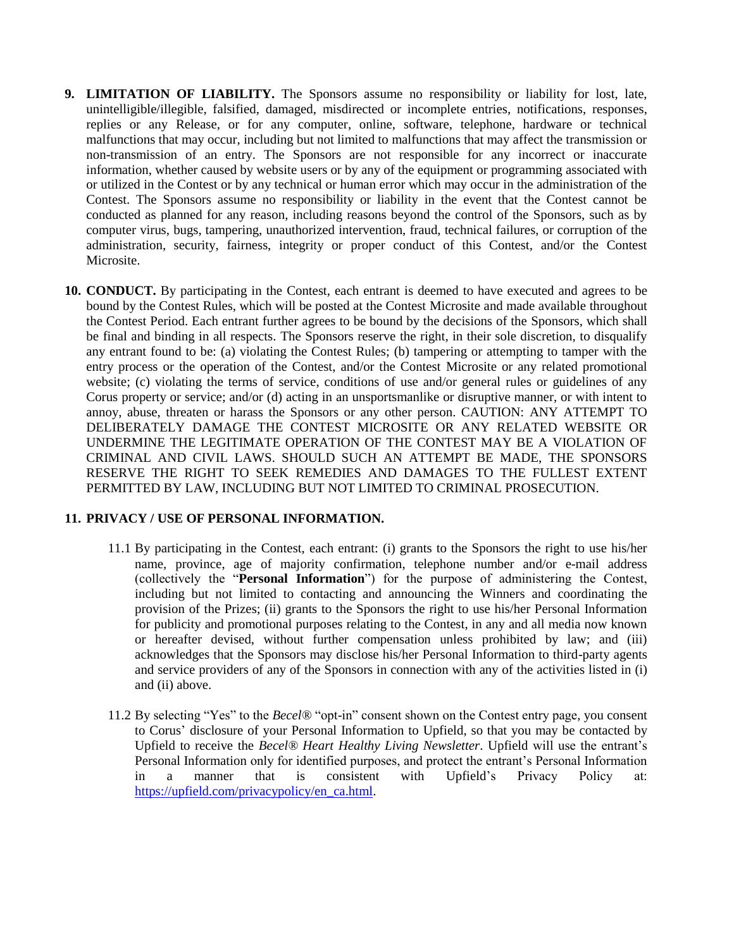- **9. LIMITATION OF LIABILITY.** The Sponsors assume no responsibility or liability for lost, late, unintelligible/illegible, falsified, damaged, misdirected or incomplete entries, notifications, responses, replies or any Release, or for any computer, online, software, telephone, hardware or technical malfunctions that may occur, including but not limited to malfunctions that may affect the transmission or non-transmission of an entry. The Sponsors are not responsible for any incorrect or inaccurate information, whether caused by website users or by any of the equipment or programming associated with or utilized in the Contest or by any technical or human error which may occur in the administration of the Contest. The Sponsors assume no responsibility or liability in the event that the Contest cannot be conducted as planned for any reason, including reasons beyond the control of the Sponsors, such as by computer virus, bugs, tampering, unauthorized intervention, fraud, technical failures, or corruption of the administration, security, fairness, integrity or proper conduct of this Contest, and/or the Contest Microsite.
- **10. CONDUCT.** By participating in the Contest, each entrant is deemed to have executed and agrees to be bound by the Contest Rules, which will be posted at the Contest Microsite and made available throughout the Contest Period. Each entrant further agrees to be bound by the decisions of the Sponsors, which shall be final and binding in all respects. The Sponsors reserve the right, in their sole discretion, to disqualify any entrant found to be: (a) violating the Contest Rules; (b) tampering or attempting to tamper with the entry process or the operation of the Contest, and/or the Contest Microsite or any related promotional website; (c) violating the terms of service, conditions of use and/or general rules or guidelines of any Corus property or service; and/or (d) acting in an unsportsmanlike or disruptive manner, or with intent to annoy, abuse, threaten or harass the Sponsors or any other person. CAUTION: ANY ATTEMPT TO DELIBERATELY DAMAGE THE CONTEST MICROSITE OR ANY RELATED WEBSITE OR UNDERMINE THE LEGITIMATE OPERATION OF THE CONTEST MAY BE A VIOLATION OF CRIMINAL AND CIVIL LAWS. SHOULD SUCH AN ATTEMPT BE MADE, THE SPONSORS RESERVE THE RIGHT TO SEEK REMEDIES AND DAMAGES TO THE FULLEST EXTENT PERMITTED BY LAW, INCLUDING BUT NOT LIMITED TO CRIMINAL PROSECUTION.

## **11. PRIVACY / USE OF PERSONAL INFORMATION.**

- 11.1 By participating in the Contest, each entrant: (i) grants to the Sponsors the right to use his/her name, province, age of majority confirmation, telephone number and/or e-mail address (collectively the "**Personal Information**") for the purpose of administering the Contest, including but not limited to contacting and announcing the Winners and coordinating the provision of the Prizes; (ii) grants to the Sponsors the right to use his/her Personal Information for publicity and promotional purposes relating to the Contest, in any and all media now known or hereafter devised, without further compensation unless prohibited by law; and (iii) acknowledges that the Sponsors may disclose his/her Personal Information to third-party agents and service providers of any of the Sponsors in connection with any of the activities listed in (i) and (ii) above.
- 11.2 By selecting "Yes" to the *Becel®* "opt-in" consent shown on the Contest entry page, you consent to Corus' disclosure of your Personal Information to Upfield, so that you may be contacted by Upfield to receive the *Becel® Heart Healthy Living Newsletter*. Upfield will use the entrant's Personal Information only for identified purposes, and protect the entrant's Personal Information in a manner that is consistent with Upfield's Privacy Policy at: [https://upfield.com/privacypolicy/en\\_ca.html.](https://upfield.com/privacypolicy/en_ca.html)